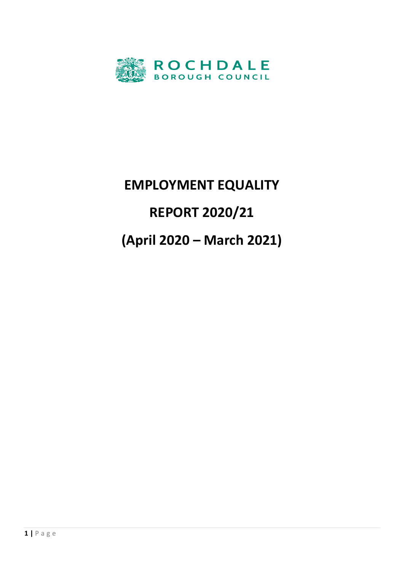

# **EMPLOYMENT EQUALITY REPORT 2020/21 (April 2020 – March 2021)**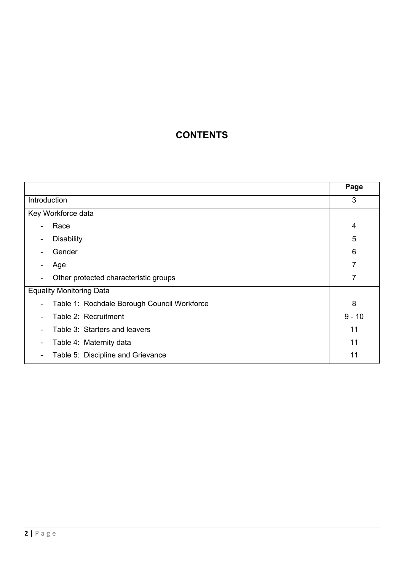# **CONTENTS**

|                                                                         | Page     |
|-------------------------------------------------------------------------|----------|
| Introduction                                                            | 3        |
| Key Workforce data                                                      |          |
| Race<br>۰                                                               | 4        |
| <b>Disability</b><br>۰                                                  | 5        |
| Gender                                                                  | 6        |
| Age<br>$\overline{a}$                                                   | 7        |
| Other protected characteristic groups<br>$\overline{a}$                 | 7        |
| <b>Equality Monitoring Data</b>                                         |          |
| Table 1: Rochdale Borough Council Workforce<br>$\overline{\phantom{a}}$ | 8        |
| Table 2: Recruitment<br>۰                                               | $9 - 10$ |
| Table 3: Starters and leavers                                           | 11       |
| Table 4: Maternity data<br>-                                            | 11       |
| Table 5: Discipline and Grievance<br>-                                  | 11       |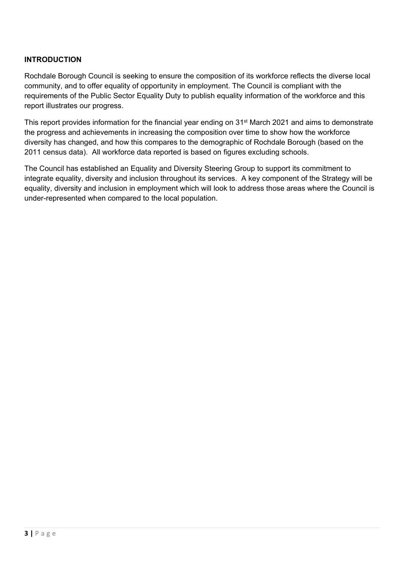#### **INTRODUCTION**

Rochdale Borough Council is seeking to ensure the composition of its workforce reflects the diverse local community, and to offer equality of opportunity in employment. The Council is compliant with the requirements of the Public Sector Equality Duty to publish equality information of the workforce and this report illustrates our progress.

This report provides information for the financial year ending on 31st March 2021 and aims to demonstrate the progress and achievements in increasing the composition over time to show how the workforce diversity has changed, and how this compares to the demographic of Rochdale Borough (based on the 2011 census data). All workforce data reported is based on figures excluding schools.

The Council has established an Equality and Diversity Steering Group to support its commitment to integrate equality, diversity and inclusion throughout its services. A key component of the Strategy will be equality, diversity and inclusion in employment which will look to address those areas where the Council is under-represented when compared to the local population.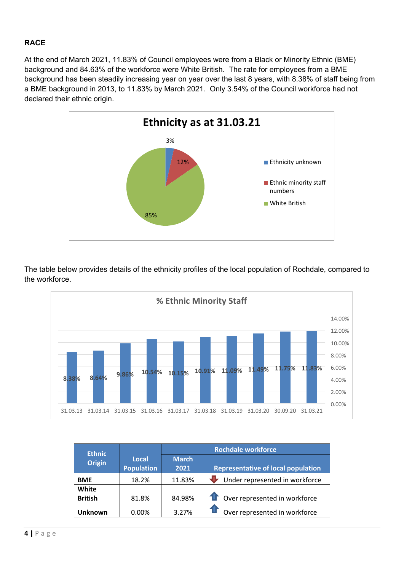# **RACE**

At the end of March 2021, 11.83% of Council employees were from a Black or Minority Ethnic (BME) background and 84.63% of the workforce were White British. The rate for employees from a BME background has been steadily increasing year on year over the last 8 years, with 8.38% of staff being from a BME background in 2013, to 11.83% by March 2021. Only 3.54% of the Council workforce had not declared their ethnic origin.



The table below provides details of the ethnicity profiles of the local population of Rochdale, compared to the workforce.



| <b>Ethnic</b>  |                            | <b>Rochdale workforce</b> |                                           |  |  |
|----------------|----------------------------|---------------------------|-------------------------------------------|--|--|
| <b>Origin</b>  | Local<br><b>Population</b> | <b>March</b><br>2021      | <b>Representative of local population</b> |  |  |
| <b>BME</b>     | 18.2%                      | 11.83%                    | Under represented in workforce            |  |  |
| White          |                            |                           |                                           |  |  |
| <b>British</b> | 81.8%                      | 84.98%                    | <b>1</b> Over represented in workforce    |  |  |
| <b>Unknown</b> | 0.00%                      | 3.27%                     | Over represented in workforce             |  |  |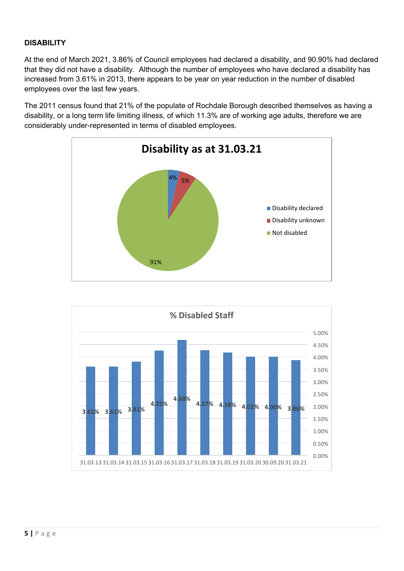# **DISABILITY**

At the end of March 2021, 3.86% of Council employees had declared a disability, and 90.90% had declared that they did not have a disability. Although the number of employees who have declared a disability has increased from 3.61% in 2013, there appears to be year on year reduction in the number of disabled employees over the last few years.

The 2011 census found that 21% of the populate of Rochdale Borough described themselves as having a disability, or a long term life limiting illness, of which 11.3% are of working age adults, therefore we are considerably under-represented in terms of disabled employees.



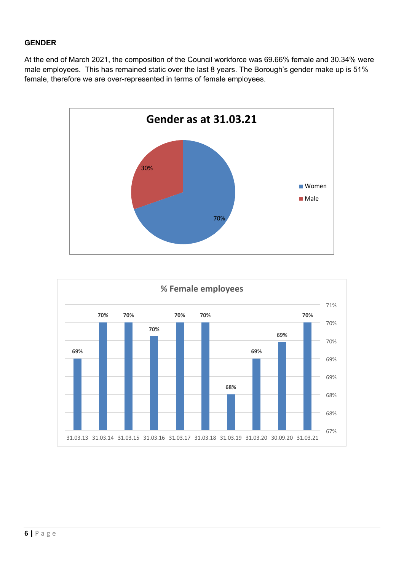# **GENDER**

At the end of March 2021, the composition of the Council workforce was 69.66% female and 30.34% were male employees. This has remained static over the last 8 years. The Borough's gender make up is 51% female, therefore we are over-represented in terms of female employees.



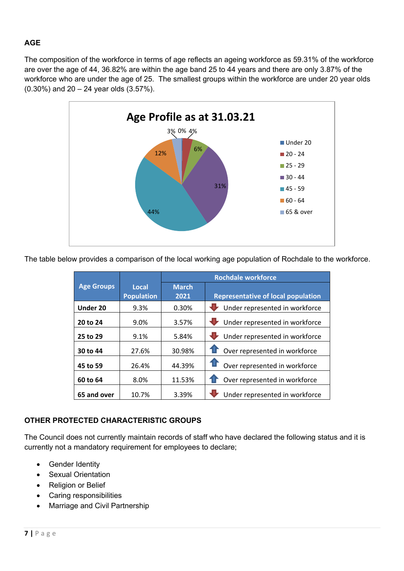# **AGE**

The composition of the workforce in terms of age reflects an ageing workforce as 59.31% of the workforce are over the age of 44, 36.82% are within the age band 25 to 44 years and there are only 3.87% of the workforce who are under the age of 25. The smallest groups within the workforce are under 20 year olds (0.30%) and 20 – 24 year olds (3.57%).



The table below provides a comparison of the local working age population of Rochdale to the workforce.

|                   |                   | <b>Rochdale workforce</b> |                                           |  |  |
|-------------------|-------------------|---------------------------|-------------------------------------------|--|--|
| <b>Age Groups</b> | Local             | <b>March</b>              |                                           |  |  |
|                   | <b>Population</b> | 2021                      | <b>Representative of local population</b> |  |  |
| Under 20          | 9.3%              | 0.30%                     | Under represented in workforce            |  |  |
| 20 to 24          | 9.0%              | 3.57%                     | Under represented in workforce            |  |  |
| 25 to 29          | 9.1%              | 5.84%                     | Under represented in workforce            |  |  |
| 30 to 44          | 27.6%             | 30.98%                    | Over represented in workforce             |  |  |
| 45 to 59          | 26.4%             | 44.39%                    | Over represented in workforce             |  |  |
| 60 to 64          | 8.0%              | 11.53%                    | Over represented in workforce             |  |  |
| 65 and over       | 10.7%             | 3.39%                     | Under represented in workforce            |  |  |

### **OTHER PROTECTED CHARACTERISTIC GROUPS**

The Council does not currently maintain records of staff who have declared the following status and it is currently not a mandatory requirement for employees to declare;

- Gender Identity
- Sexual Orientation
- Religion or Belief
- Caring responsibilities
- Marriage and Civil Partnership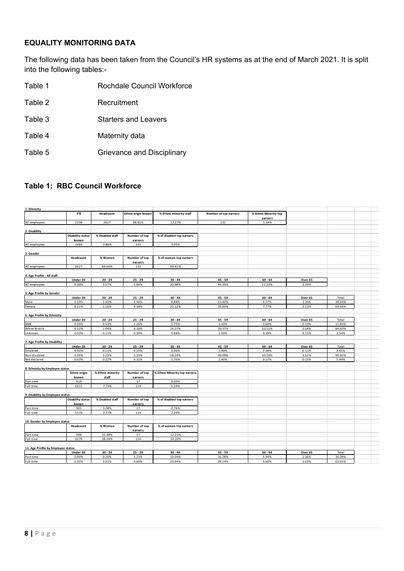# **EQUALITY MONITORING DATA**

The following data has been taken from the Council's HR systems as at the end of March 2021. It is split into the following tables:-

- Table 1 **Rochdale Council Workforce**
- Table 2 Recruitment
- Table 3 Starters and Leavers
- Table 4 Maternity data
- Table 5 Grievance and Disciplinary

#### **Table 1: RBC Council Workforce**

| 1. Ethnicity                       |                          |                   |                          |                               |                       |                       |                  |                 |  |
|------------------------------------|--------------------------|-------------------|--------------------------|-------------------------------|-----------------------|-----------------------|------------------|-----------------|--|
|                                    | <b>FTE</b>               | Headcount         | Ethnic origin known      | % Ethnic minority staff       | Number of top earners | % Ethnic Minority top |                  |                 |  |
|                                    |                          |                   |                          |                               |                       | earners               |                  |                 |  |
| All employees                      | 2198                     | 2627              | 98.81%                   | 12.27%                        | 131                   | 5.34%                 |                  |                 |  |
|                                    |                          |                   |                          |                               |                       |                       |                  |                 |  |
| 2. Disability                      |                          |                   |                          |                               |                       |                       |                  |                 |  |
|                                    | <b>Disability status</b> | % Disabled staff  | Number of top            | % of disabled top earners     |                       |                       |                  |                 |  |
|                                    | known                    |                   | earners                  |                               |                       |                       |                  |                 |  |
| All employees                      | 2484                     | 3.86%             | 131                      | 3.05%                         |                       |                       |                  |                 |  |
|                                    |                          |                   |                          |                               |                       |                       |                  |                 |  |
| 3. Gender                          |                          |                   |                          |                               |                       |                       |                  |                 |  |
|                                    | Headcount                | % Women           | Number of top<br>earners | % of women top earners        |                       |                       |                  |                 |  |
| All employees                      | 2627                     | 69.66%            | 131                      | 66.41%                        |                       |                       |                  |                 |  |
|                                    |                          |                   |                          |                               |                       |                       |                  |                 |  |
| 4. Age Profile - All staff         |                          |                   |                          |                               |                       |                       |                  |                 |  |
|                                    | Under 20                 | $20 - 24$         | $25 - 29$                | $30 - 44$                     | $45 - 59$             | $60 - 64$             | Over 65          |                 |  |
| All employees                      | 0.30%                    | 3.57%             | 5.84%                    | 30.98%                        | 44.39%                | 11.53%                | 3.39%            |                 |  |
|                                    |                          |                   |                          |                               |                       |                       |                  |                 |  |
| 5. Age Profile by Gender           |                          |                   |                          |                               |                       |                       |                  |                 |  |
|                                    | Under 20                 | $20 - 24$         | $25 - 29$                | $30 - 44$                     | $45 - 59$             | $60 - 64$             | Over 65          | Total           |  |
| Male                               | 0.19%                    | 1.40%             | 1.44%                    | 8.88%                         | 13.40%                | 3.77%                 | 1.26%            | 30.34%          |  |
| Female                             | 0.11%                    | 2.16%             | 4.38%                    | 22.12%                        | 30.99%                | 7.77%                 | 2.13%            | 69.66%          |  |
|                                    |                          |                   |                          |                               |                       |                       |                  |                 |  |
| 6. Age Profile by Ethnicity        |                          | $20 - 24$         | $25 - 29$                | $30 - 44$                     |                       |                       |                  |                 |  |
| <b>BME</b>                         | Under 20<br>0.03%        | 0.53%             | 1.26%                    | 5.75%                         | $45 - 59$<br>3.43%    | $60 - 64$<br>0.64%    | Over 65<br>0.19% | Total<br>11.83% |  |
| White British                      | 0.22%                    | 2.94%             | 4.18%                    | 24.37%                        | 39.37%                | 10.51%                | 3.04%            | 84.63%          |  |
| Unknown                            | 0.03%                    | 0.11%             | 0.39%                    | 0.88%                         | 1.59%                 | 0.39%                 | 0.15%            | 3.54%           |  |
|                                    |                          |                   |                          |                               |                       |                       |                  |                 |  |
| 7. Age Profile by Disability       |                          |                   |                          |                               |                       |                       |                  |                 |  |
|                                    | Under 20                 | $20 - 24$         | $25 - 29$                | $30 - 44$                     | $45 - 59$             | $60 - 64$             | Over 65          | Total           |  |
| Disabled                           | 0.00%                    | 0.11%             | 0.19%                    | 0.96%                         | 1.90%                 | 0.38%                 | 0.11%            | 3.65%           |  |
| Non-disabled                       | 0.26%                    | 3.23%             | 5.33%                    | 28.29%                        | 40.09%                | 10.59%                | 3.12%            | 90.91%          |  |
| Not declared                       | 0.03%                    | 0.22%             | 0.31%                    | 1.76%                         | 2.40%                 | 0.57%                 | 0.15%            | 5.44%           |  |
|                                    |                          |                   |                          |                               |                       |                       |                  |                 |  |
| 8. Ethnicity by Employee status    |                          |                   |                          |                               |                       |                       |                  |                 |  |
|                                    | <b>Ethnic origin</b>     | % Ethnic minority | Number of top            | % Ethnic Minority top earners |                       |                       |                  |                 |  |
|                                    | known                    | staff             | earners                  |                               |                       |                       |                  |                 |  |
| Part time                          | 919                      |                   | 17                       | 0.00%                         |                       |                       |                  |                 |  |
| Full time                          | 1615                     | 7.73%             | 114                      | 5.34%                         |                       |                       |                  |                 |  |
|                                    |                          |                   |                          |                               |                       |                       |                  |                 |  |
| 9. Disability by Employee status   |                          |                   |                          |                               |                       |                       |                  |                 |  |
|                                    | Disability status        | % Disabled staff  | Number of top            | % of disabled top earners     |                       |                       |                  |                 |  |
|                                    | known                    |                   | earners                  |                               |                       |                       |                  |                 |  |
| Part time                          | 905<br>1579              | 1.08%<br>2.77%    | 17<br>114                | 0.76%<br>2.29%                |                       |                       |                  |                 |  |
| Full time                          |                          |                   |                          |                               |                       |                       |                  |                 |  |
| 10. Gender by Employee status      |                          |                   |                          |                               |                       |                       |                  |                 |  |
|                                    | Headcount                | % Women           | Number of top            | % of women top earners        |                       |                       |                  |                 |  |
|                                    |                          |                   | earners                  |                               |                       |                       |                  |                 |  |
| Part time                          | 948                      | 31.48%            | 17                       | 12.21%                        |                       |                       |                  |                 |  |
| Full time                          | 1679                     | 38.18%            | 114                      | 54.20%                        |                       |                       |                  |                 |  |
|                                    |                          |                   |                          |                               |                       |                       |                  |                 |  |
| 11. Age Profile by Employee status |                          |                   |                          |                               |                       |                       |                  |                 |  |
|                                    | Under 20                 | $20 - 24$         | $25 - 29$                | $30 - 44$                     | $45 - 59$             | $60 - 64$             | Over 65          | Total           |  |
| Part time                          | 0.00%                    | 0.26%             | 1.21%                    | 10.04%                        | 16.28%                | 5.94%                 | 2.36%            | 36.09%          |  |
| Full time                          | 0.30%                    | 3.31%             | 4.60%                    | 20.94%                        | 28.14%                | 5.60%                 | 1.02%            | 63.91%          |  |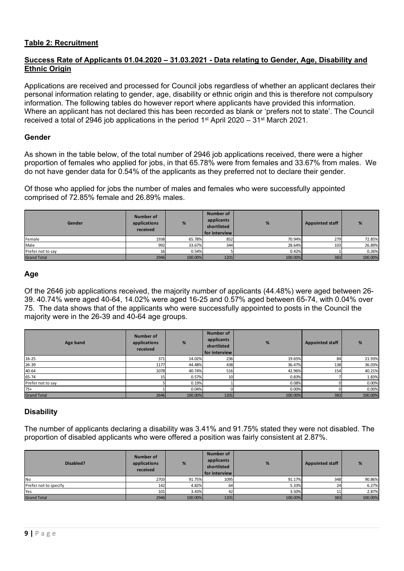#### **Table 2: Recruitment**

#### **Success Rate of Applicants 01.04.2020 – 31.03.2021 - Data relating to Gender, Age, Disability and Ethnic Origin**

Applications are received and processed for Council jobs regardless of whether an applicant declares their personal information relating to gender, age, disability or ethnic origin and this is therefore not compulsory information. The following tables do however report where applicants have provided this information. Where an applicant has not declared this has been recorded as blank or 'prefers not to state'. The Council received a total of 2946 job applications in the period 1<sup>st</sup> April 2020 – 31<sup>st</sup> March 2021.

#### **Gender**

As shown in the table below, of the total number of 2946 job applications received, there were a higher proportion of females who applied for jobs, in that 65.78% were from females and 33.67% from males. We do not have gender data for 0.54% of the applicants as they preferred not to declare their gender.

Of those who applied for jobs the number of males and females who were successfully appointed comprised of 72.85% female and 26.89% males.

| Gender             | Number of<br>applications<br>received | %       | Number of<br>applicants<br>shortlisted<br>l for interview l | %       | <b>Appointed staff</b> | %       |
|--------------------|---------------------------------------|---------|-------------------------------------------------------------|---------|------------------------|---------|
| Female             | 1938                                  | 65.78%  | 852                                                         | 70.94%  | 279                    | 72.85%  |
| Male               | 992                                   | 33.67%  | 344                                                         | 28.64%  | 103                    | 26.89%  |
| Prefer not to say  | 16                                    | 0.54%   |                                                             | 0.42%   |                        | 0.26%   |
| <b>Grand Total</b> | 2946                                  | 100.00% | 1201                                                        | 100.00% | 383                    | 100.00% |

#### **Age**

Of the 2646 job applications received, the majority number of applicants (44.48%) were aged between 26- 39. 40.74% were aged 40-64, 14.02% were aged 16-25 and 0.57% aged between 65-74, with 0.04% over 75. The data shows that of the applicants who were successfully appointed to posts in the Council the majority were in the 26-39 and 40-64 age groups.

| Age band           | Number of<br>applications<br>received | %       | <b>Number of</b><br>applicants<br>shortlisted<br>for interview | %       | <b>Appointed staff</b> | %       |
|--------------------|---------------------------------------|---------|----------------------------------------------------------------|---------|------------------------|---------|
| $16 - 25$          | 371                                   | 14.02%  | 236                                                            | 19.65%  | 84                     | 21.93%  |
| 26-39              | 1177                                  | 44.48%  | 438                                                            | 36.47%  | 138                    | 36.03%  |
| 40-64              | 1078                                  | 40.74%  | 516                                                            | 42.96%  | 154                    | 40.21%  |
| 65-74              | 15                                    | 0.57%   | 10 <sup>1</sup>                                                | 0.83%   |                        | 1.83%   |
| Prefer not to say  |                                       | 0.19%   |                                                                | 0.08%   |                        | 0.00%   |
| $75+$              |                                       | 0.04%   |                                                                | 0.00%   |                        | 0.00%   |
| <b>Grand Total</b> | 2646                                  | 100.00% | 1201                                                           | 100.00% | 383                    | 100.00% |

#### **Disability**

The number of applicants declaring a disability was 3.41% and 91.75% stated they were not disabled. The proportion of disabled applicants who were offered a position was fairly consistent at 2.87%.

| Disabled?             | Number of<br>applications<br>received | %       | Number of<br>applicants<br>shortlisted<br><b>I</b> for interview I | %       | <b>Appointed staff</b> | %       |
|-----------------------|---------------------------------------|---------|--------------------------------------------------------------------|---------|------------------------|---------|
| <b>No</b>             | 2703                                  | 91.75%  | 1095                                                               | 91.17%  | 348                    | 90.86%  |
| Prefer not to specify | 142                                   | 4.82%   | 64                                                                 | 5.33%   | 24                     | 6.27%   |
| Yes                   | 101                                   | 3.43%   |                                                                    | 3.50%   | 11                     | 2.87%   |
| <b>Grand Total</b>    | 2946                                  | 100.00% | 1201                                                               | 100.00% | 383                    | 100.00% |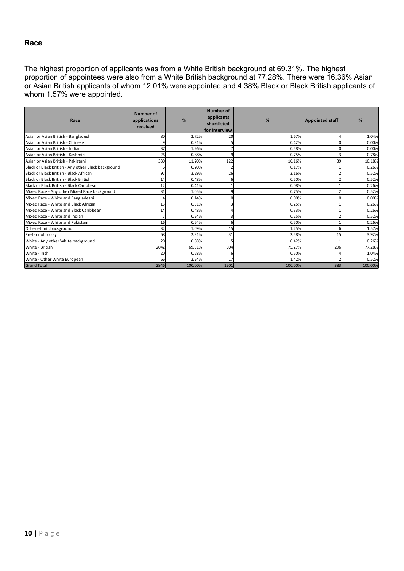#### **Race**

The highest proportion of applicants was from a White British background at 69.31%. The highest proportion of appointees were also from a White British background at 77.28%. There were 16.36% Asian or Asian British applicants of whom 12.01% were appointed and 4.38% Black or Black British applicants of whom 1.57% were appointed.

| Race                                                | Number of<br>applications<br>received | %       | <b>Number of</b><br>applicants<br>shortlisted<br>for interview | %       | <b>Appointed staff</b> | %       |
|-----------------------------------------------------|---------------------------------------|---------|----------------------------------------------------------------|---------|------------------------|---------|
| Asian or Asian British - Bangladeshi                | 80                                    | 2.72%   | 20 <sup>1</sup>                                                | 1.67%   |                        | 1.04%   |
| Asian or Asian British - Chinese                    |                                       | 0.31%   |                                                                | 0.42%   | $\Omega$               | 0.00%   |
| Asian or Asian British - Indian                     | 37                                    | 1.26%   |                                                                | 0.58%   | $\Omega$               | 0.00%   |
| Asian or Asian British - Kashmiri                   | 26                                    | 0.88%   | q                                                              | 0.75%   | 3                      | 0.78%   |
| Asian or Asian British - Pakistani                  | 330                                   | 11.20%  | 122                                                            | 10.16%  | 39                     | 10.18%  |
| Black or Black British - Any other Black background |                                       | 0.20%   |                                                                | 0.17%   |                        | 0.26%   |
| Black or Black British - Black African              | 97                                    | 3.29%   | 26                                                             | 2.16%   |                        | 0.52%   |
| Black or Black British - Black British              | 14                                    | 0.48%   |                                                                | 0.50%   |                        | 0.52%   |
| Black or Black British - Black Caribbean            | 12                                    | 0.41%   |                                                                | 0.08%   |                        | 0.26%   |
| Mixed Race - Any other Mixed Race background        | 31                                    | 1.05%   | q                                                              | 0.75%   |                        | 0.52%   |
| Mixed Race - White and Bangladeshi                  |                                       | 0.14%   |                                                                | 0.00%   | $\Omega$               | 0.00%   |
| Mixed Race - White and Black African                | 15                                    | 0.51%   |                                                                | 0.25%   |                        | 0.26%   |
| Mixed Race - White and Black Caribbean              | 14                                    | 0.48%   |                                                                | 0.33%   |                        | 0.26%   |
| Mixed Race - White and Indian                       |                                       | 0.24%   |                                                                | 0.25%   |                        | 0.52%   |
| Mixed Race - White and Pakistani                    | 16                                    | 0.54%   |                                                                | 0.50%   |                        | 0.26%   |
| Other ethnic background                             | 32                                    | 1.09%   | 15                                                             | 1.25%   | 6                      | 1.57%   |
| Prefer not to say                                   | 68                                    | 2.31%   | 31                                                             | 2.58%   | 15                     | 3.92%   |
| White - Any other White background                  | 20                                    | 0.68%   | 5                                                              | 0.42%   |                        | 0.26%   |
| White - British                                     | 2042                                  | 69.31%  | 904                                                            | 75.27%  | 296                    | 77.28%  |
| White - Irish                                       | 20                                    | 0.68%   | 6                                                              | 0.50%   |                        | 1.04%   |
| White - Other White European                        | 66                                    | 2.24%   | 17                                                             | 1.42%   |                        | 0.52%   |
| <b>Grand Total</b>                                  | 2946                                  | 100.00% | 1201                                                           | 100.00% | 383                    | 100.00% |